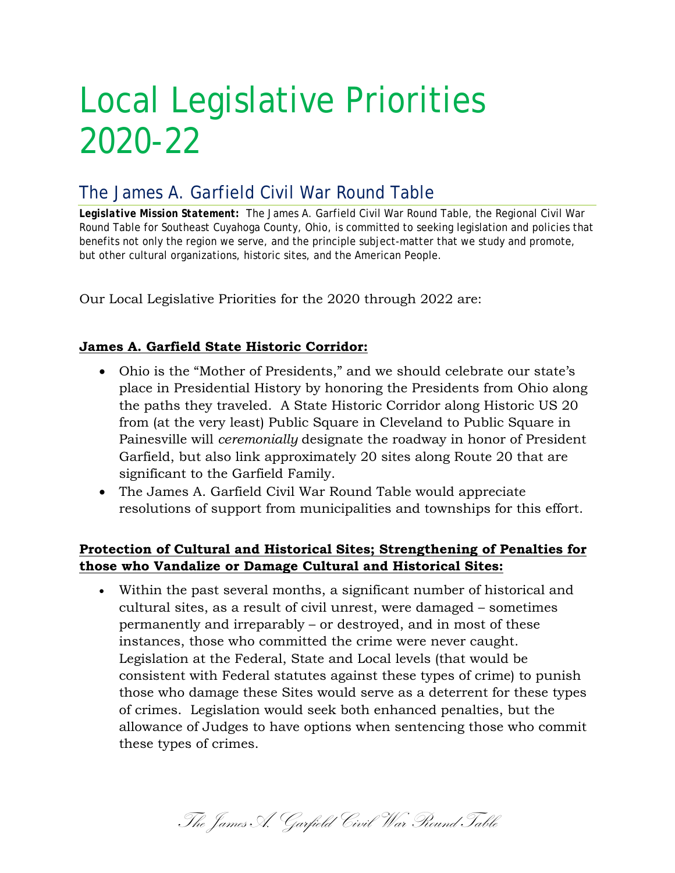# Local Legislative Priorities 2020-22

## The James A. Garfield Civil War Round Table

*Legislative Mission Statement:* The James A. Garfield Civil War Round Table, the Regional Civil War Round Table for Southeast Cuyahoga County, Ohio, is committed to seeking legislation and policies that benefits not only the region we serve, and the principle subject-matter that we study and promote, but other cultural organizations, historic sites, and the American People.

Our Local Legislative Priorities for the 2020 through 2022 are:

### **James A. Garfield State Historic Corridor:**

- Ohio is the "Mother of Presidents," and we should celebrate our state's place in Presidential History by honoring the Presidents from Ohio along the paths they traveled. A State Historic Corridor along Historic US 20 from (at the very least) Public Square in Cleveland to Public Square in Painesville will *ceremonially* designate the roadway in honor of President Garfield, but also link approximately 20 sites along Route 20 that are significant to the Garfield Family.
- The James A. Garfield Civil War Round Table would appreciate resolutions of support from municipalities and townships for this effort.

### **Protection of Cultural and Historical Sites; Strengthening of Penalties for those who Vandalize or Damage Cultural and Historical Sites:**

• Within the past several months, a significant number of historical and cultural sites, as a result of civil unrest, were damaged – sometimes permanently and irreparably – or destroyed, and in most of these instances, those who committed the crime were never caught. Legislation at the Federal, State and Local levels (that would be consistent with Federal statutes against these types of crime) to punish those who damage these Sites would serve as a deterrent for these types of crimes. Legislation would seek both enhanced penalties, but the allowance of Judges to have options when sentencing those who commit these types of crimes.

The James A. Garfield Civil War Round Table